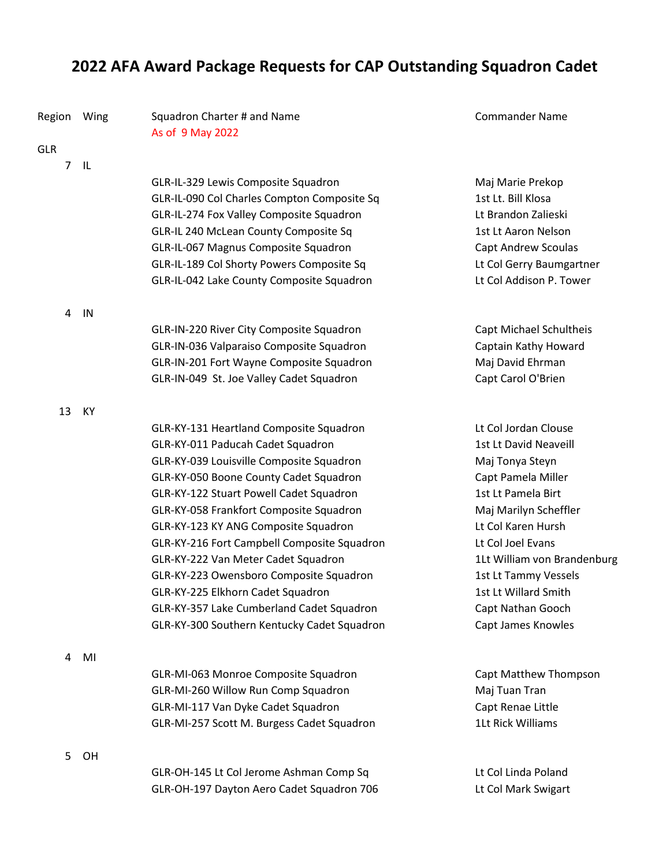## **2022 AFA Award Package Requests for CAP Outstanding Squadron Cadet**

| Region Wing |        | Squadron Charter # and Name<br>As of 9 May 2022 | <b>Commander Name</b>       |
|-------------|--------|-------------------------------------------------|-----------------------------|
| <b>GLR</b>  |        |                                                 |                             |
|             | $7$ IL |                                                 |                             |
|             |        | GLR-IL-329 Lewis Composite Squadron             | Maj Marie Prekop            |
|             |        | GLR-IL-090 Col Charles Compton Composite Sq     | 1st Lt. Bill Klosa          |
|             |        | GLR-IL-274 Fox Valley Composite Squadron        | Lt Brandon Zalieski         |
|             |        | GLR-IL 240 McLean County Composite Sq           | 1st Lt Aaron Nelson         |
|             |        | GLR-IL-067 Magnus Composite Squadron            | Capt Andrew Scoulas         |
|             |        | GLR-IL-189 Col Shorty Powers Composite Sq       | Lt Col Gerry Baumgartner    |
|             |        | GLR-IL-042 Lake County Composite Squadron       | Lt Col Addison P. Tower     |
| 4           | IN     |                                                 |                             |
|             |        | GLR-IN-220 River City Composite Squadron        | Capt Michael Schultheis     |
|             |        | GLR-IN-036 Valparaiso Composite Squadron        | Captain Kathy Howard        |
|             |        | GLR-IN-201 Fort Wayne Composite Squadron        | Maj David Ehrman            |
|             |        | GLR-IN-049 St. Joe Valley Cadet Squadron        | Capt Carol O'Brien          |
| 13          | KY     |                                                 |                             |
|             |        | GLR-KY-131 Heartland Composite Squadron         | Lt Col Jordan Clouse        |
|             |        | GLR-KY-011 Paducah Cadet Squadron               | 1st Lt David Neaveill       |
|             |        | GLR-KY-039 Louisville Composite Squadron        | Maj Tonya Steyn             |
|             |        | GLR-KY-050 Boone County Cadet Squadron          | Capt Pamela Miller          |
|             |        | GLR-KY-122 Stuart Powell Cadet Squadron         | 1st Lt Pamela Birt          |
|             |        | GLR-KY-058 Frankfort Composite Squadron         | Maj Marilyn Scheffler       |
|             |        | GLR-KY-123 KY ANG Composite Squadron            | Lt Col Karen Hursh          |
|             |        | GLR-KY-216 Fort Campbell Composite Squadron     | Lt Col Joel Evans           |
|             |        | GLR-KY-222 Van Meter Cadet Squadron             | 1Lt William von Brandenburg |
|             |        | GLR-KY-223 Owensboro Composite Squadron         | 1st Lt Tammy Vessels        |
|             |        | GLR-KY-225 Elkhorn Cadet Squadron               | 1st Lt Willard Smith        |
|             |        | GLR-KY-357 Lake Cumberland Cadet Squadron       | Capt Nathan Gooch           |
|             |        | GLR-KY-300 Southern Kentucky Cadet Squadron     | Capt James Knowles          |
| 4           | MI     |                                                 |                             |
|             |        | GLR-MI-063 Monroe Composite Squadron            | Capt Matthew Thompson       |
|             |        | GLR-MI-260 Willow Run Comp Squadron             | Maj Tuan Tran               |
|             |        | GLR-MI-117 Van Dyke Cadet Squadron              | Capt Renae Little           |
|             |        | GLR-MI-257 Scott M. Burgess Cadet Squadron      | 1Lt Rick Williams           |
| 5           | OH     |                                                 |                             |
|             |        | GLR-OH-145 Lt Col Jerome Ashman Comp Sq         | Lt Col Linda Poland         |
|             |        | GLR-OH-197 Dayton Aero Cadet Squadron 706       | Lt Col Mark Swigart         |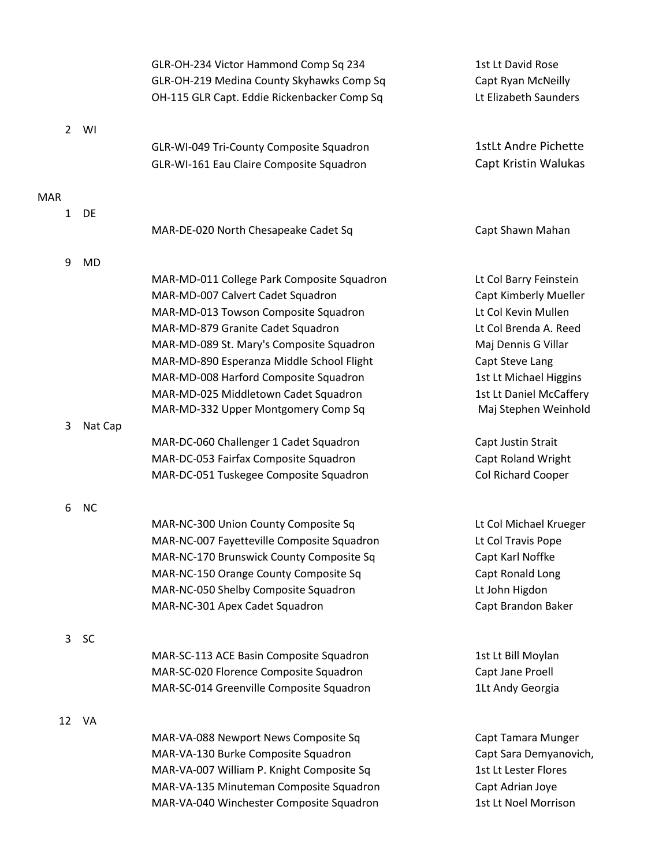|              |           | GLR-OH-234 Victor Hammond Comp Sq 234<br>GLR-OH-219 Medina County Skyhawks Comp Sq<br>OH-115 GLR Capt. Eddie Rickenbacker Comp Sq | 1st Lt David Rose<br>Capt Ryan McNeilly<br>Lt Elizabeth Saunders |
|--------------|-----------|-----------------------------------------------------------------------------------------------------------------------------------|------------------------------------------------------------------|
| $2^{\circ}$  | WI        |                                                                                                                                   |                                                                  |
|              |           | GLR-WI-049 Tri-County Composite Squadron                                                                                          | <b>1stLt Andre Pichette</b>                                      |
|              |           | GLR-WI-161 Eau Claire Composite Squadron                                                                                          | Capt Kristin Walukas                                             |
| <b>MAR</b>   |           |                                                                                                                                   |                                                                  |
| $\mathbf{1}$ | DE        |                                                                                                                                   |                                                                  |
|              |           | MAR-DE-020 North Chesapeake Cadet Sq                                                                                              | Capt Shawn Mahan                                                 |
| 9            | MD        |                                                                                                                                   |                                                                  |
|              |           | MAR-MD-011 College Park Composite Squadron                                                                                        | Lt Col Barry Feinstein                                           |
|              |           | MAR-MD-007 Calvert Cadet Squadron                                                                                                 | Capt Kimberly Mueller                                            |
|              |           | MAR-MD-013 Towson Composite Squadron                                                                                              | Lt Col Kevin Mullen                                              |
|              |           | MAR-MD-879 Granite Cadet Squadron                                                                                                 | Lt Col Brenda A. Reed                                            |
|              |           | MAR-MD-089 St. Mary's Composite Squadron                                                                                          | Maj Dennis G Villar                                              |
|              |           | MAR-MD-890 Esperanza Middle School Flight                                                                                         | Capt Steve Lang                                                  |
|              |           | MAR-MD-008 Harford Composite Squadron                                                                                             | 1st Lt Michael Higgins                                           |
|              |           | MAR-MD-025 Middletown Cadet Squadron                                                                                              | 1st Lt Daniel McCaffery                                          |
|              |           | MAR-MD-332 Upper Montgomery Comp Sq                                                                                               | Maj Stephen Weinhold                                             |
| 3            | Nat Cap   |                                                                                                                                   |                                                                  |
|              |           | MAR-DC-060 Challenger 1 Cadet Squadron                                                                                            | Capt Justin Strait                                               |
|              |           | MAR-DC-053 Fairfax Composite Squadron                                                                                             | Capt Roland Wright                                               |
|              |           | MAR-DC-051 Tuskegee Composite Squadron                                                                                            | Col Richard Cooper                                               |
| 6            | <b>NC</b> |                                                                                                                                   |                                                                  |
|              |           | MAR-NC-300 Union County Composite Sq                                                                                              | Lt Col Michael Krueger                                           |
|              |           | MAR-NC-007 Fayetteville Composite Squadron                                                                                        | Lt Col Travis Pope                                               |
|              |           | MAR-NC-170 Brunswick County Composite Sq                                                                                          | Capt Karl Noffke                                                 |
|              |           | MAR-NC-150 Orange County Composite Sq                                                                                             | Capt Ronald Long                                                 |
|              |           | MAR-NC-050 Shelby Composite Squadron                                                                                              | Lt John Higdon                                                   |
|              |           | MAR-NC-301 Apex Cadet Squadron                                                                                                    | Capt Brandon Baker                                               |
| 3            | <b>SC</b> |                                                                                                                                   |                                                                  |
|              |           | MAR-SC-113 ACE Basin Composite Squadron                                                                                           | 1st Lt Bill Moylan                                               |
|              |           | MAR-SC-020 Florence Composite Squadron                                                                                            | Capt Jane Proell                                                 |
|              |           | MAR-SC-014 Greenville Composite Squadron                                                                                          | 1Lt Andy Georgia                                                 |
| 12           | VA        |                                                                                                                                   |                                                                  |
|              |           | MAR-VA-088 Newport News Composite Sq                                                                                              | Capt Tamara Munger                                               |
|              |           | MAR-VA-130 Burke Composite Squadron                                                                                               | Capt Sara Demyanovich,                                           |
|              |           | MAR-VA-007 William P. Knight Composite Sq                                                                                         | 1st Lt Lester Flores                                             |
|              |           | MAR-VA-135 Minuteman Composite Squadron                                                                                           | Capt Adrian Joye                                                 |
|              |           | MAR-VA-040 Winchester Composite Squadron                                                                                          | 1st Lt Noel Morrison                                             |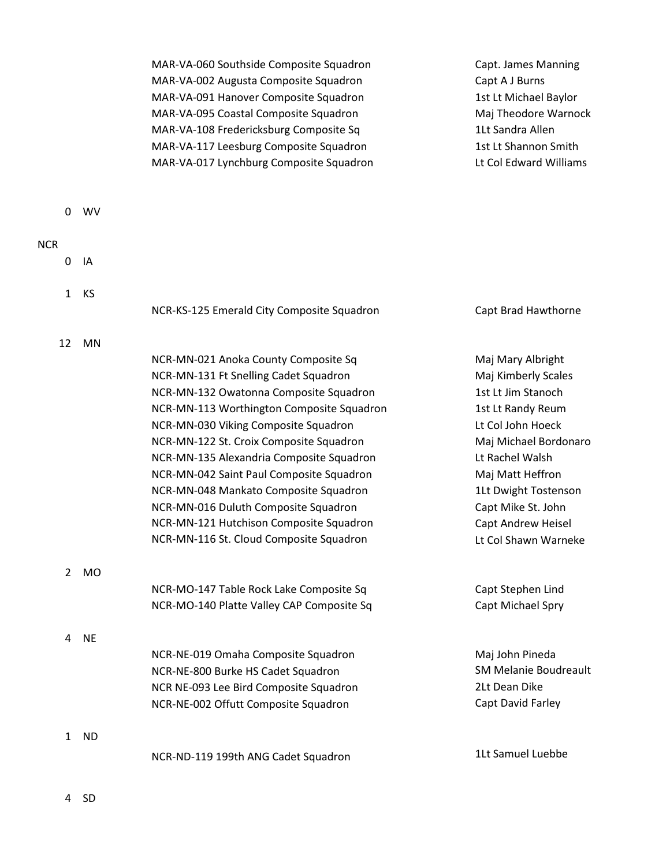MAR-VA-060 Southside Composite Squadron Capt. James Manning MAR-VA-002 Augusta Composite Squadron Capt A J Burns MAR-VA-091 Hanover Composite Squadron 1st Lt Michael Baylor MAR-VA-095 Coastal Composite Squadron Manuel Maj Theodore Warnock MAR-VA-108 Fredericksburg Composite Sq 1Lt Sandra Allen MAR-VA-117 Leesburg Composite Squadron 1st Lt Shannon Smith MAR-VA-017 Lynchburg Composite Squadron Lt Col Edward Williams

0 WV

## **NCR**

- 0 IA
- 1 KS

NCR-KS-125 Emerald City Composite Squadron Capt Brad Hawthorne

12 MN

NCR-MN-021 Anoka County Composite Sq May Maj Mary Albright NCR-MN-131 Ft Snelling Cadet Squadron Maj Kimberly Scales NCR-MN-132 Owatonna Composite Squadron 1st Lt Jim Stanoch NCR-MN-113 Worthington Composite Squadron 1st Lt Randy Reum NCR-MN-030 Viking Composite Squadron Let Col John Hoeck NCR-MN-122 St. Croix Composite Squadron Maj Michael Bordonaro NCR-MN-135 Alexandria Composite Squadron Lt Rachel Walsh NCR-MN-042 Saint Paul Composite Squadron Maj Matt Heffron NCR-MN-048 Mankato Composite Squadron 1Lt Dwight Tostenson NCR-MN-016 Duluth Composite Squadron Capt Mike St. John NCR-MN-121 Hutchison Composite Squadron Capt Andrew Heisel NCR-MN-116 St. Cloud Composite Squadron Luck Lt Col Shawn Warneke

2 MO

NCR-MO-147 Table Rock Lake Composite Sq Capt Stephen Lind NCR-MO-140 Platte Valley CAP Composite Sq Capt Michael Spry

4 NE NCR-NE-019 Omaha Composite Squadron Maj John Pineda NCR-NE-800 Burke HS Cadet Squadron SM Melanie Boudreault NCR NE-093 Lee Bird Composite Squadron 2Lt Dean Dike NCR-NE-002 Offutt Composite Squadron Capt David Farley

1 ND NCR-ND-119 199th ANG Cadet Squadron 1Lt Samuel Luebbe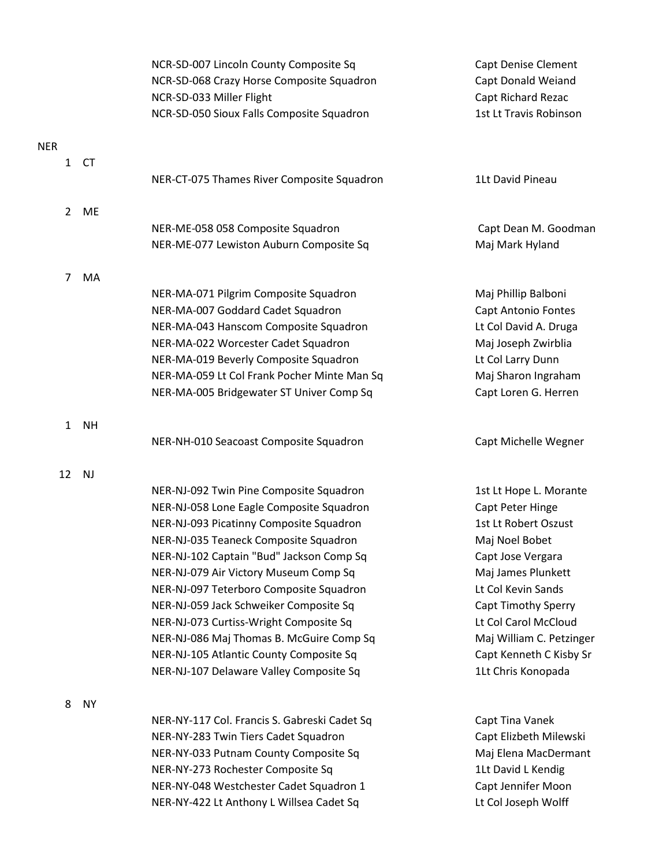|                |           | NCR-SD-007 Lincoln County Composite Sq       | Capt Denise Clement        |
|----------------|-----------|----------------------------------------------|----------------------------|
|                |           | NCR-SD-068 Crazy Horse Composite Squadron    | Capt Donald Weiand         |
|                |           | NCR-SD-033 Miller Flight                     | Capt Richard Rezac         |
|                |           | NCR-SD-050 Sioux Falls Composite Squadron    | 1st Lt Travis Robinson     |
|                |           |                                              |                            |
| <b>NER</b>     |           |                                              |                            |
| 1              | <b>CT</b> |                                              |                            |
|                |           | NER-CT-075 Thames River Composite Squadron   | 1Lt David Pineau           |
| $\overline{2}$ | ME        |                                              |                            |
|                |           | NER-ME-058 058 Composite Squadron            | Capt Dean M. Goodman       |
|                |           | NER-ME-077 Lewiston Auburn Composite Sq      | Maj Mark Hyland            |
|                |           |                                              |                            |
| 7              | MA        |                                              |                            |
|                |           | NER-MA-071 Pilgrim Composite Squadron        | Maj Phillip Balboni        |
|                |           | NER-MA-007 Goddard Cadet Squadron            | Capt Antonio Fontes        |
|                |           | NER-MA-043 Hanscom Composite Squadron        | Lt Col David A. Druga      |
|                |           | NER-MA-022 Worcester Cadet Squadron          | Maj Joseph Zwirblia        |
|                |           | NER-MA-019 Beverly Composite Squadron        | Lt Col Larry Dunn          |
|                |           | NER-MA-059 Lt Col Frank Pocher Minte Man Sq  | Maj Sharon Ingraham        |
|                |           | NER-MA-005 Bridgewater ST Univer Comp Sq     | Capt Loren G. Herren       |
| $\mathbf{1}$   | <b>NH</b> |                                              |                            |
|                |           | NER-NH-010 Seacoast Composite Squadron       | Capt Michelle Wegner       |
| 12             | <b>NJ</b> |                                              |                            |
|                |           | NER-NJ-092 Twin Pine Composite Squadron      | 1st Lt Hope L. Morante     |
|                |           | NER-NJ-058 Lone Eagle Composite Squadron     | Capt Peter Hinge           |
|                |           | NER-NJ-093 Picatinny Composite Squadron      | 1st Lt Robert Oszust       |
|                |           | NER-NJ-035 Teaneck Composite Squadron        | Maj Noel Bobet             |
|                |           | NER-NJ-102 Captain "Bud" Jackson Comp Sq     | Capt Jose Vergara          |
|                |           | NER-NJ-079 Air Victory Museum Comp Sq        | Maj James Plunkett         |
|                |           | NER-NJ-097 Teterboro Composite Squadron      | Lt Col Kevin Sands         |
|                |           | NER-NJ-059 Jack Schweiker Composite Sq       | <b>Capt Timothy Sperry</b> |
|                |           | NER-NJ-073 Curtiss-Wright Composite Sq       | Lt Col Carol McCloud       |
|                |           | NER-NJ-086 Maj Thomas B. McGuire Comp Sq     | Maj William C. Petzinger   |
|                |           | NER-NJ-105 Atlantic County Composite Sq      | Capt Kenneth C Kisby Sr    |
|                |           | NER-NJ-107 Delaware Valley Composite Sq      | 1Lt Chris Konopada         |
| 8              | <b>NY</b> |                                              |                            |
|                |           | NER-NY-117 Col. Francis S. Gabreski Cadet Sq | Capt Tina Vanek            |
|                |           | NER-NY-283 Twin Tiers Cadet Squadron         | Capt Elizbeth Milewski     |
|                |           | NER-NY-033 Putnam County Composite Sq        | Maj Elena MacDermant       |
|                |           | NER-NY-273 Rochester Composite Sq            | 1Lt David L Kendig         |
|                |           | NER-NY-048 Westchester Cadet Squadron 1      | Capt Jennifer Moon         |
|                |           |                                              |                            |

NER-NY-422 Lt Anthony L Willsea Cadet Sq Lt Col Joseph Wolff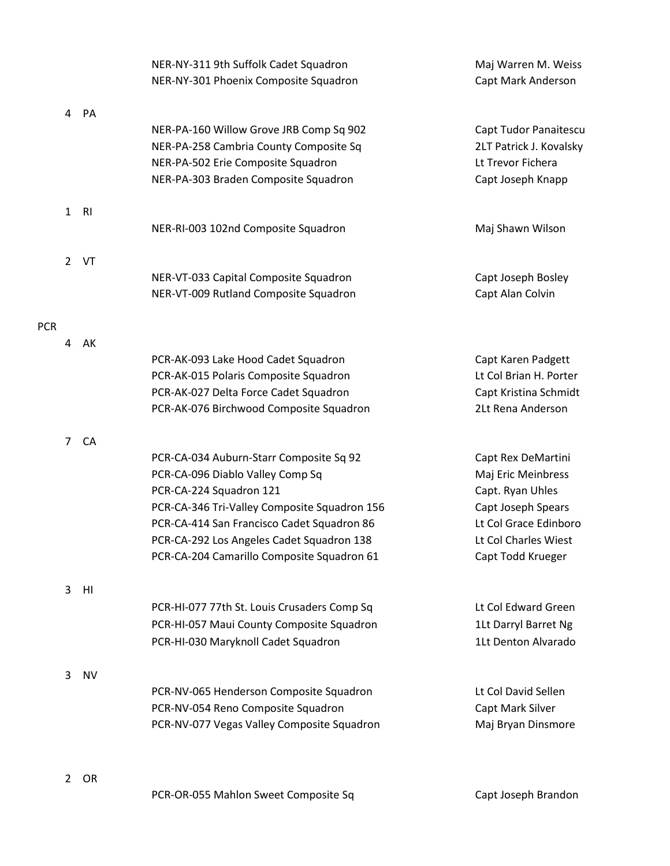|            |                |                | NER-NY-311 9th Suffolk Cadet Squadron<br>NER-NY-301 Phoenix Composite Squadron | Maj Warren M. Weiss<br>Capt Mark Anderson    |
|------------|----------------|----------------|--------------------------------------------------------------------------------|----------------------------------------------|
|            | 4              | PA             |                                                                                |                                              |
|            |                |                | NER-PA-160 Willow Grove JRB Comp Sq 902                                        | Capt Tudor Panaitescu                        |
|            |                |                | NER-PA-258 Cambria County Composite Sq                                         | 2LT Patrick J. Kovalsky                      |
|            |                |                | NER-PA-502 Erie Composite Squadron                                             | Lt Trevor Fichera                            |
|            |                |                | NER-PA-303 Braden Composite Squadron                                           | Capt Joseph Knapp                            |
|            | $\mathbf{1}$   | R <sub>l</sub> |                                                                                |                                              |
|            |                |                | NER-RI-003 102nd Composite Squadron                                            | Maj Shawn Wilson                             |
|            | $2^{\circ}$    | VT             |                                                                                |                                              |
|            |                |                | NER-VT-033 Capital Composite Squadron                                          | Capt Joseph Bosley                           |
|            |                |                | NER-VT-009 Rutland Composite Squadron                                          | Capt Alan Colvin                             |
| <b>PCR</b> |                |                |                                                                                |                                              |
|            | 4              | AK             |                                                                                |                                              |
|            |                |                | PCR-AK-093 Lake Hood Cadet Squadron                                            | Capt Karen Padgett<br>Lt Col Brian H. Porter |
|            |                |                | PCR-AK-015 Polaris Composite Squadron<br>PCR-AK-027 Delta Force Cadet Squadron | Capt Kristina Schmidt                        |
|            |                |                | PCR-AK-076 Birchwood Composite Squadron                                        | 2Lt Rena Anderson                            |
|            |                |                |                                                                                |                                              |
|            | $\overline{7}$ | CA             |                                                                                |                                              |
|            |                |                | PCR-CA-034 Auburn-Starr Composite Sq 92                                        | Capt Rex DeMartini                           |
|            |                |                | PCR-CA-096 Diablo Valley Comp Sq                                               | Maj Eric Meinbress                           |
|            |                |                | PCR-CA-224 Squadron 121                                                        | Capt. Ryan Uhles                             |
|            |                |                | PCR-CA-346 Tri-Valley Composite Squadron 156                                   | Capt Joseph Spears                           |
|            |                |                | PCR-CA-414 San Francisco Cadet Squadron 86                                     | Lt Col Grace Edinboro                        |
|            |                |                | PCR-CA-292 Los Angeles Cadet Squadron 138                                      | Lt Col Charles Wiest                         |
|            |                |                | PCR-CA-204 Camarillo Composite Squadron 61                                     | Capt Todd Krueger                            |
|            | 3              | HI             |                                                                                |                                              |
|            |                |                | PCR-HI-077 77th St. Louis Crusaders Comp Sq                                    | Lt Col Edward Green                          |
|            |                |                | PCR-HI-057 Maui County Composite Squadron                                      | 1Lt Darryl Barret Ng                         |
|            |                |                | PCR-HI-030 Maryknoll Cadet Squadron                                            | 1Lt Denton Alvarado                          |
|            | 3              | <b>NV</b>      |                                                                                |                                              |
|            |                |                | PCR-NV-065 Henderson Composite Squadron                                        | Lt Col David Sellen                          |
|            |                |                | PCR-NV-054 Reno Composite Squadron                                             | Capt Mark Silver                             |
|            |                |                | PCR-NV-077 Vegas Valley Composite Squadron                                     | Maj Bryan Dinsmore                           |
|            | $\overline{2}$ | OR             |                                                                                |                                              |
|            |                |                | PCR-OR-055 Mahlon Sweet Composite Sq                                           | Capt Joseph Brandon                          |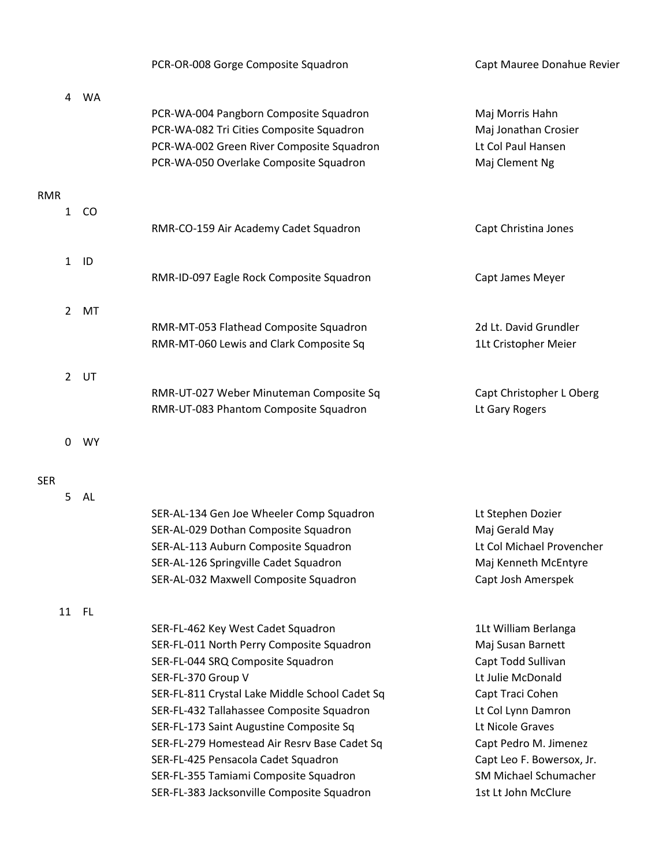|                |           | PCR-OR-008 Gorge Composite Squadron                                             | Capt Mauree Donahue Revier              |
|----------------|-----------|---------------------------------------------------------------------------------|-----------------------------------------|
| 4              | <b>WA</b> |                                                                                 |                                         |
|                |           | PCR-WA-004 Pangborn Composite Squadron                                          | Maj Morris Hahn                         |
|                |           | PCR-WA-082 Tri Cities Composite Squadron                                        | Maj Jonathan Crosier                    |
|                |           | PCR-WA-002 Green River Composite Squadron                                       | Lt Col Paul Hansen                      |
|                |           | PCR-WA-050 Overlake Composite Squadron                                          | Maj Clement Ng                          |
| <b>RMR</b>     |           |                                                                                 |                                         |
| $\mathbf{1}$   | CO        |                                                                                 |                                         |
|                |           | RMR-CO-159 Air Academy Cadet Squadron                                           | Capt Christina Jones                    |
| $\mathbf{1}$   | ID        |                                                                                 |                                         |
|                |           | RMR-ID-097 Eagle Rock Composite Squadron                                        | Capt James Meyer                        |
| $\overline{2}$ | MT        |                                                                                 |                                         |
|                |           | RMR-MT-053 Flathead Composite Squadron                                          | 2d Lt. David Grundler                   |
|                |           | RMR-MT-060 Lewis and Clark Composite Sq                                         | 1Lt Cristopher Meier                    |
| $\overline{2}$ | UT        |                                                                                 |                                         |
|                |           | RMR-UT-027 Weber Minuteman Composite Sq                                         | Capt Christopher L Oberg                |
|                |           | RMR-UT-083 Phantom Composite Squadron                                           | Lt Gary Rogers                          |
| 0              | WY        |                                                                                 |                                         |
| <b>SER</b>     |           |                                                                                 |                                         |
|                | 5 AL      |                                                                                 |                                         |
|                |           | SER-AL-134 Gen Joe Wheeler Comp Squadron                                        | Lt Stephen Dozier                       |
|                |           | SER-AL-029 Dothan Composite Squadron                                            | Maj Gerald May                          |
|                |           | SER-AL-113 Auburn Composite Squadron                                            | Lt Col Michael Provencher               |
|                |           | SER-AL-126 Springville Cadet Squadron                                           | Maj Kenneth McEntyre                    |
|                |           | SER-AL-032 Maxwell Composite Squadron                                           | Capt Josh Amerspek                      |
| 11 FL          |           |                                                                                 |                                         |
|                |           | SER-FL-462 Key West Cadet Squadron<br>SER-FL-011 North Perry Composite Squadron | 1Lt William Berlanga                    |
|                |           | SER-FL-044 SRQ Composite Squadron                                               | Maj Susan Barnett                       |
|                |           | SER-FL-370 Group V                                                              | Capt Todd Sullivan<br>Lt Julie McDonald |
|                |           | SER-FL-811 Crystal Lake Middle School Cadet Sq                                  | Capt Traci Cohen                        |
|                |           | SER-FL-432 Tallahassee Composite Squadron                                       | Lt Col Lynn Damron                      |
|                |           | SER-FL-173 Saint Augustine Composite Sq                                         | Lt Nicole Graves                        |
|                |           | SER-FL-279 Homestead Air Resrv Base Cadet Sq                                    | Capt Pedro M. Jimenez                   |
|                |           | SER-FL-425 Pensacola Cadet Squadron                                             | Capt Leo F. Bowersox, Jr.               |
|                |           | SER-FL-355 Tamiami Composite Squadron                                           | SM Michael Schumacher                   |
|                |           | SER-FL-383 Jacksonville Composite Squadron                                      | 1st Lt John McClure                     |
|                |           |                                                                                 |                                         |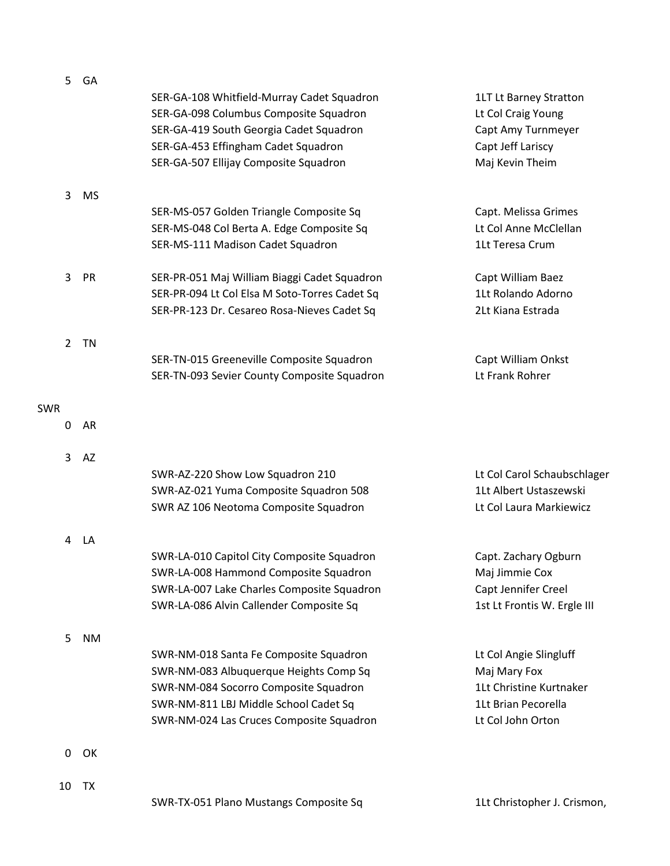| 5              | GA        |                                               |                             |
|----------------|-----------|-----------------------------------------------|-----------------------------|
|                |           | SER-GA-108 Whitfield-Murray Cadet Squadron    | 1LT Lt Barney Stratton      |
|                |           | SER-GA-098 Columbus Composite Squadron        | Lt Col Craig Young          |
|                |           | SER-GA-419 South Georgia Cadet Squadron       | Capt Amy Turnmeyer          |
|                |           | SER-GA-453 Effingham Cadet Squadron           | Capt Jeff Lariscy           |
|                |           | SER-GA-507 Ellijay Composite Squadron         | Maj Kevin Theim             |
|                |           |                                               |                             |
| 3              | <b>MS</b> |                                               |                             |
|                |           | SER-MS-057 Golden Triangle Composite Sq       | Capt. Melissa Grimes        |
|                |           | SER-MS-048 Col Berta A. Edge Composite Sq     | Lt Col Anne McClellan       |
|                |           | SER-MS-111 Madison Cadet Squadron             | 1Lt Teresa Crum             |
|                |           |                                               |                             |
| 3              | PR        | SER-PR-051 Maj William Biaggi Cadet Squadron  | Capt William Baez           |
|                |           | SER-PR-094 Lt Col Elsa M Soto-Torres Cadet Sq | 1Lt Rolando Adorno          |
|                |           | SER-PR-123 Dr. Cesareo Rosa-Nieves Cadet Sq   | 2Lt Kiana Estrada           |
|                |           |                                               |                             |
| $\overline{2}$ | <b>TN</b> |                                               |                             |
|                |           | SER-TN-015 Greeneville Composite Squadron     | Capt William Onkst          |
|                |           | SER-TN-093 Sevier County Composite Squadron   | Lt Frank Rohrer             |
|                |           |                                               |                             |
| <b>SWR</b>     |           |                                               |                             |
| 0              | AR        |                                               |                             |
|                |           |                                               |                             |
| 3              | AZ        |                                               |                             |
|                |           | SWR-AZ-220 Show Low Squadron 210              | Lt Col Carol Schaubschlager |
|                |           | SWR-AZ-021 Yuma Composite Squadron 508        | 1Lt Albert Ustaszewski      |
|                |           | SWR AZ 106 Neotoma Composite Squadron         | Lt Col Laura Markiewicz     |
|                |           |                                               |                             |
| 4              | LA        |                                               |                             |
|                |           | SWR-LA-010 Capitol City Composite Squadron    | Capt. Zachary Ogburn        |
|                |           | SWR-LA-008 Hammond Composite Squadron         | Maj Jimmie Cox              |
|                |           | SWR-LA-007 Lake Charles Composite Squadron    | Capt Jennifer Creel         |
|                |           | SWR-LA-086 Alvin Callender Composite Sq       | 1st Lt Frontis W. Ergle III |
|                |           |                                               |                             |
| 5              | NM        |                                               |                             |
|                |           | SWR-NM-018 Santa Fe Composite Squadron        | Lt Col Angie Slingluff      |
|                |           | SWR-NM-083 Albuquerque Heights Comp Sq        | Maj Mary Fox                |
|                |           | SWR-NM-084 Socorro Composite Squadron         | 1Lt Christine Kurtnaker     |
|                |           | SWR-NM-811 LBJ Middle School Cadet Sq         | 1Lt Brian Pecorella         |
|                |           | SWR-NM-024 Las Cruces Composite Squadron      | Lt Col John Orton           |
|                |           |                                               |                             |
| 0              | OK        |                                               |                             |
|                |           |                                               |                             |
| 10             | TX        |                                               |                             |
|                |           | SWR-TX-051 Plano Mustangs Composite Sq        | 1Lt Christopher J. Crismon, |